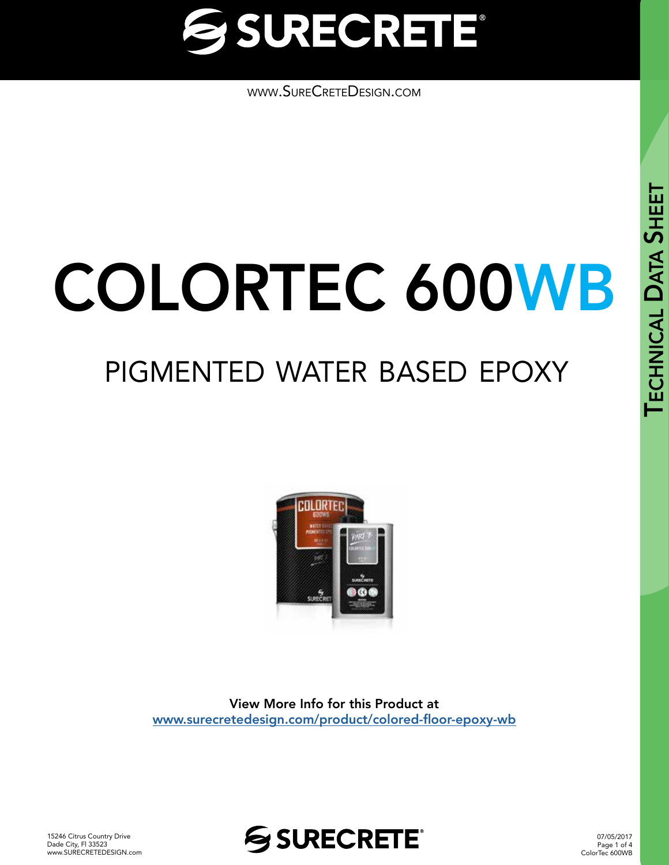

[www.SureCreteDesign.com](http://www.surecretedesign.com)

# COLORTEC 600WB

## pigmented water based epoxy



View More Info for this Product at [www.surecretedesign.com/product/colored-floor-epoxy-wb](https://www.surecretedesign.com/product/colored-floor-epoxy-wb/)



07/05/2017 Page 1 of 4 ColorTec 600WB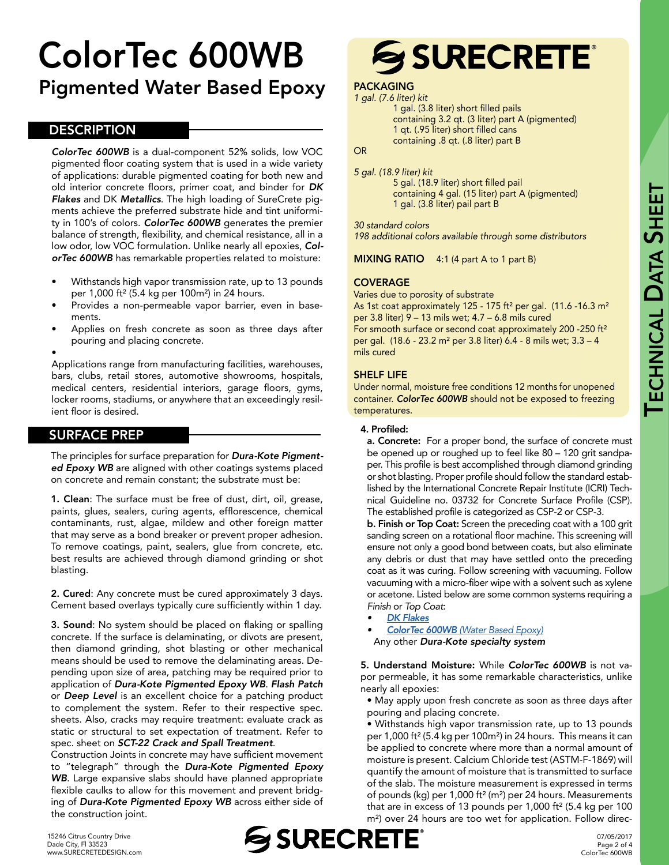### ColorTec 600WB Pigmented Water Based Epoxy

#### **DESCRIPTION**

*ColorTec 600WB* is a dual-component 52% solids, low VOC pigmented floor coating system that is used in a wide variety of applications: durable pigmented coating for both new and old interior concrete floors, primer coat, and binder for *DK Flakes* and DK *Metallics*. The high loading of SureCrete pigments achieve the preferred substrate hide and tint uniformity in 100's of colors. *ColorTec 600WB* generates the premier balance of strength, flexibility, and chemical resistance, all in a low odor, low VOC formulation. Unlike nearly all epoxies, *ColorTec 600WB* has remarkable properties related to moisture:

- Withstands high vapor transmission rate, up to 13 pounds per 1,000 ft² (5.4 kg per 100m²) in 24 hours.
- Provides a non-permeable vapor barrier, even in basements.
- Applies on fresh concrete as soon as three days after pouring and placing concrete.
- •

Applications range from manufacturing facilities, warehouses, bars, clubs, retail stores, automotive showrooms, hospitals, medical centers, residential interiors, garage floors, gyms, locker rooms, stadiums, or anywhere that an exceedingly resilient floor is desired.

#### SURFACE PREP

The principles for surface preparation for *Dura-Kote Pigmented Epoxy WB* are aligned with other coatings systems placed on concrete and remain constant; the substrate must be:

1. Clean: The surface must be free of dust, dirt, oil, grease, paints, glues, sealers, curing agents, efflorescence, chemical contaminants, rust, algae, mildew and other foreign matter that may serve as a bond breaker or prevent proper adhesion. To remove coatings, paint, sealers, glue from concrete, etc. best results are achieved through diamond grinding or shot blasting.

2. Cured: Any concrete must be cured approximately 3 days. Cement based overlays typically cure sufficiently within 1 day.

3. Sound: No system should be placed on flaking or spalling concrete. If the surface is delaminating, or divots are present, then diamond grinding, shot blasting or other mechanical means should be used to remove the delaminating areas. Depending upon size of area, patching may be required prior to application of *Dura-Kote Pigmented Epoxy WB*. *Flash Patch*  or *Deep Level* is an excellent choice for a patching product to complement the system. Refer to their respective spec. sheets. Also, cracks may require treatment: evaluate crack as static or structural to set expectation of treatment. Refer to spec. sheet on *SCT-22 Crack and Spall Treatment*.

Construction Joints in concrete may have sufficient movement to "telegraph" through the *Dura-Kote Pigmented Epoxy WB*. Large expansive slabs should have planned appropriate flexible caulks to allow for this movement and prevent bridging of *Dura-Kote Pigmented Epoxy WB* across either side of the construction joint.

## **SSURECRETE®**

#### PACKAGING *1 gal. (7.6 liter) kit*

1 gal. (3.8 liter) short filled pails containing 3.2 qt. (3 liter) part A (pigmented) 1 qt. (.95 liter) short filled cans containing .8 qt. (.8 liter) part B

#### **OR**

*5 gal. (18.9 liter) kit*

5 gal. (18.9 liter) short filled pail containing 4 gal. (15 liter) part A (pigmented) 1 gal. (3.8 liter) pail part B

#### *30 standard colors*

*198 additional colors available through some distributors*

MIXING RATIO 4:1 (4 part A to 1 part B)

#### **COVERAGE**

Varies due to porosity of substrate As 1st coat approximately 125 - 175 ft<sup>2</sup> per gal. (11.6 -16.3 m<sup>2</sup> per 3.8 liter) 9 – 13 mils wet; 4.7 – 6.8 mils cured

For smooth surface or second coat approximately 200 -250 ft<sup>2</sup> per gal. (18.6 - 23.2 m² per 3.8 liter) 6.4 - 8 mils wet; 3.3 – 4 mils cured

#### SHELF LIFE

Under normal, moisture free conditions 12 months for unopened container. *ColorTec 600WB* should not be exposed to freezing temperatures.

#### 4. Profiled:

a. Concrete: For a proper bond, the surface of concrete must be opened up or roughed up to feel like 80 – 120 grit sandpaper. This profile is best accomplished through diamond grinding or shot blasting. Proper profile should follow the standard established by the International Concrete Repair Institute (ICRI) Technical Guideline no. 03732 for Concrete Surface Profile (CSP). The established profile is categorized as CSP-2 or CSP-3.

b. Finish or Top Coat: Screen the preceding coat with a 100 grit sanding screen on a rotational floor machine. This screening will ensure not only a good bond between coats, but also eliminate any debris or dust that may have settled onto the preceding coat as it was curing. Follow screening with vacuuming. Follow vacuuming with a micro-fiber wipe with a solvent such as xylene or acetone. Listed below are some common systems requiring a *Finish* or *Top Coat*:

- *• [DK Flakes](https://www.surecretedesign.com/product/floor-flake-chips/)*
- *• ColorTec 600WB [\(Water Based Epoxy\)](https://www.surecretedesign.com/product/colored-floor-epoxy-wb/)*

Any other *Dura-Kote specialty system*

5. Understand Moisture: While *ColorTec 600WB* is not vapor permeable, it has some remarkable characteristics, unlike nearly all epoxies:

• May apply upon fresh concrete as soon as three days after pouring and placing concrete.

• Withstands high vapor transmission rate, up to 13 pounds per 1,000 ft² (5.4 kg per 100m²) in 24 hours. This means it can be applied to concrete where more than a normal amount of moisture is present. Calcium Chloride test (ASTM-F-1869) will quantify the amount of moisture that is transmitted to surface of the slab. The moisture measurement is expressed in terms of pounds (kg) per 1,000 ft² (m²) per 24 hours. Measurements that are in excess of 13 pounds per 1,000 ft² (5.4 kg per 100 m²) over 24 hours are too wet for application. Follow direc-

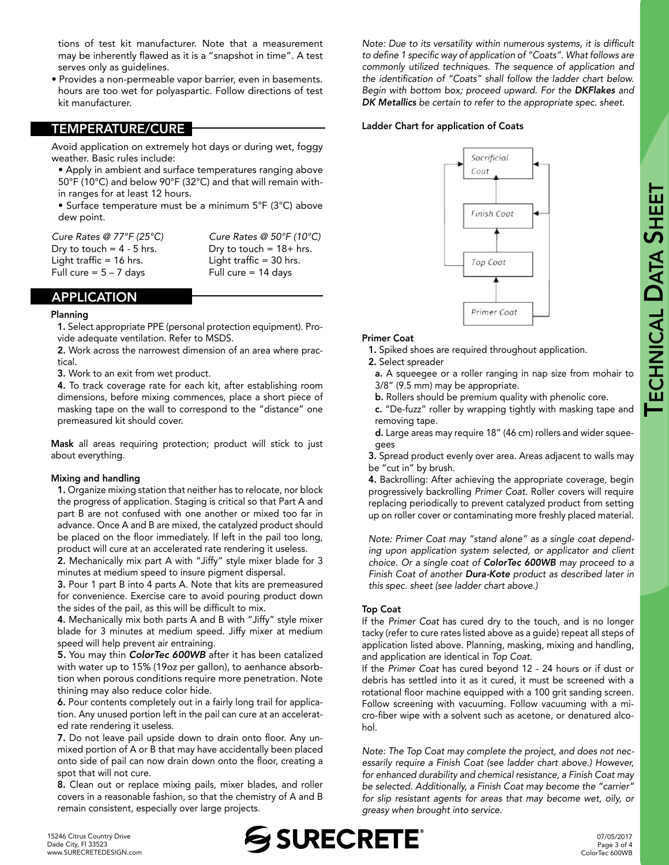tions of test kit manufacturer. Note that a measurement may be inherently flawed as it is a "snapshot in time". A test serves only as guidelines.

• Provides a non-permeable vapor barrier, even in basements. hours are too wet for polyaspartic. Follow directions of test kit manufacturer.

#### TEMPERATURE/CURE

Avoid application on extremely hot days or during wet, foggy weather. Basic rules include:

- Apply in ambient and surface temperatures ranging above 50°F (10°C) and below 90°F (32°C) and that will remain within ranges for at least 12 hours.
- Surface temperature must be a minimum 5°F (3°C) above dew point.

| Cure Rates @ 77°F (25°C)    | Cure Rates @ $50^{\circ}$ F (10 $^{\circ}$ C) |
|-----------------------------|-----------------------------------------------|
| Dry to touch = $4 - 5$ hrs. | Dry to touch = $18+$ hrs.                     |
| Light traffic $= 16$ hrs.   | Light traffic $=$ 30 hrs.                     |
| Full cure $= 5 - 7$ days    | Full cure $= 14$ days                         |
|                             |                                               |

#### APPLICATION

#### Planning

1. Select appropriate PPE (personal protection equipment). Provide adequate ventilation. Refer to MSDS.

2. Work across the narrowest dimension of an area where practical.

3. Work to an exit from wet product.

4. To track coverage rate for each kit, after establishing room dimensions, before mixing commences, place a short piece of masking tape on the wall to correspond to the "distance" one premeasured kit should cover.

Mask all areas requiring protection; product will stick to just about everything.

#### Mixing and handling

1. Organize mixing station that neither has to relocate, nor block the progress of application. Staging is critical so that Part A and part B are not confused with one another or mixed too far in advance. Once A and B are mixed, the catalyzed product should be placed on the floor immediately. If left in the pail too long, product will cure at an accelerated rate rendering it useless.

2. Mechanically mix part A with "Jiffy" style mixer blade for 3 minutes at medium speed to insure pigment dispersal.

3. Pour 1 part B into 4 parts A. Note that kits are premeasured for convenience. Exercise care to avoid pouring product down the sides of the pail, as this will be difficult to mix.

4. Mechanically mix both parts A and B with "Jiffy" style mixer blade for 3 minutes at medium speed. Jiffy mixer at medium speed will help prevent air entraining.

5. You may thin *ColorTec 600WB* after it has been catalized with water up to 15% (19oz per gallon), to aenhance absorbtion when porous conditions require more penetration. Note thining may also reduce color hide.

6. Pour contents completely out in a fairly long trail for application. Any unused portion left in the pail can cure at an accelerated rate rendering it useless.

7. Do not leave pail upside down to drain onto floor. Any unmixed portion of A or B that may have accidentally been placed onto side of pail can now drain down onto the floor, creating a spot that will not cure.

8. Clean out or replace mixing pails, mixer blades, and roller covers in a reasonable fashion, so that the chemistry of A and B remain consistent, especially over large projects.

Note: Due to its versatility within numerous systems, it is difficult to define 1 specific way of application of "Coats". What follows are *commonly utilized techniques. The sequence of application and*  the identification of "Coats" shall follow the ladder chart below. *Begin with bottom box; proceed upward. For the DKFlakes and DK Metallics be certain to refer to the appropriate spec. sheet.*

#### Ladder Chart for application of Coats



#### Primer Coat

1. Spiked shoes are required throughout application.

2. Select spreader

**SHEET** 

a. A squeegee or a roller ranging in nap size from mohair to 3/8" (9.5 mm) may be appropriate.

b. Rollers should be premium quality with phenolic core.

c. "De-fuzz" roller by wrapping tightly with masking tape and removing tape.

d. Large areas may require 18" (46 cm) rollers and wider squeegees

3. Spread product evenly over area. Areas adjacent to walls may be "cut in" by brush.

4. Backrolling: After achieving the appropriate coverage, begin progressively backrolling *Primer Coat*. Roller covers will require replacing periodically to prevent catalyzed product from setting up on roller cover or contaminating more freshly placed material.

Note: Primer Coat may "stand alone" as a single coat depend*ing upon application system selected, or applicator and client choice. Or a single coat of ColorTec 600WB may proceed to a Finish Coat of another Dura-Kote product as described later in this spec. sheet (see ladder chart above.)*

#### Top Coat

If the *Primer Coat* has cured dry to the touch, and is no longer tacky (refer to cure rates listed above as a guide) repeat all steps of application listed above. Planning, masking, mixing and handling, and application are identical in *Top Coat*.

If the *Primer Coat* has cured beyond 12 - 24 hours or if dust or debris has settled into it as it cured, it must be screened with a rotational floor machine equipped with a 100 grit sanding screen. Follow screening with vacuuming. Follow vacuuming with a micro-fiber wipe with a solvent such as acetone, or denatured alcohol.

*Note: The Top Coat may complete the project, and does not necessarily require a Finish Coat (see ladder chart above.) However, for enhanced durability and chemical resistance, a Finish Coat may*  be selected. Additionally, a Finish Coat may become the "carrier" *for slip resistant agents for areas that may become wet, oily, or greasy when brought into service.*



07/05/2017 Page 3 of 4 ColorTec 600WB